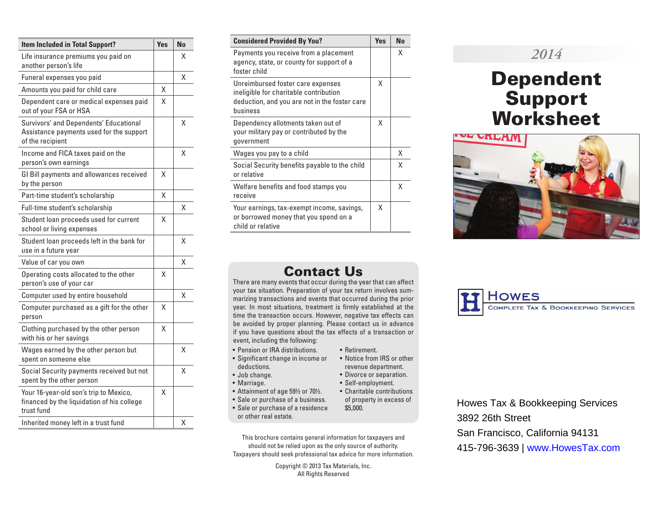| <b>Item Included in Total Support?</b>                                                                 |   | <b>No</b> |
|--------------------------------------------------------------------------------------------------------|---|-----------|
| Life insurance premiums you paid on<br>another person's life                                           |   | x         |
| Funeral expenses you paid                                                                              |   | χ         |
| Amounts you paid for child care                                                                        | X |           |
| Dependent care or medical expenses paid<br>out of your FSA or HSA                                      | X |           |
| Survivors' and Dependents' Educational<br>Assistance payments used for the support<br>of the recipient |   | Χ         |
| Income and FICA taxes paid on the<br>person's own earnings                                             |   | Χ         |
| GI Bill payments and allowances received<br>by the person                                              | X |           |
| Part-time student's scholarship                                                                        | X |           |
| Full-time student's scholarship                                                                        |   | Χ         |
| Student loan proceeds used for current<br>school or living expenses                                    | χ |           |
| Student loan proceeds left in the bank for<br>use in a future year                                     |   | χ         |
| Value of car you own                                                                                   |   | x         |
| Operating costs allocated to the other<br>person's use of your car                                     | Χ |           |
| Computer used by entire household                                                                      |   | χ         |
| Computer purchased as a gift for the other<br>person                                                   | X |           |
| Clothing purchased by the other person<br>with his or her savings                                      | X |           |
| Wages earned by the other person but<br>spent on someone else                                          |   | χ         |
| Social Security payments received but not<br>spent by the other person                                 |   | χ         |
| Your 16-year-old son's trip to Mexico,<br>financed by the liquidation of his college<br>trust fund     | X |           |
| Inherited money left in a trust fund                                                                   |   | χ         |

| <b>Considered Provided By You?</b>                                                                                                       | <b>Yes</b> | <b>No</b> |
|------------------------------------------------------------------------------------------------------------------------------------------|------------|-----------|
| Payments you receive from a placement<br>agency, state, or county for support of a<br>foster child                                       |            | x         |
| Unreimbursed foster care expenses<br>ineligible for charitable contribution<br>deduction, and you are not in the foster care<br>business | X          |           |
| Dependency allotments taken out of<br>your military pay or contributed by the<br>government                                              | X          |           |
| Wages you pay to a child                                                                                                                 |            | X         |
| Social Security benefits payable to the child<br>or relative                                                                             |            | Χ         |
| Welfare benefits and food stamps you<br>receive                                                                                          |            | Χ         |
| Your earnings, tax-exempt income, savings,<br>or borrowed money that you spend on a<br>child or relative                                 | X          |           |

# *2014*

# Dependent Support Worksheet



# Contact Us

There are many events that occur during the year that can affect your tax situation. Preparation of your tax return involves summarizing transactions and events that occurred during the prior year. In most situations, treatment is firmly established at the time the transaction occurs. However, negative tax effects can be avoided by proper planning. Please contact us in advance if you have questions about the tax effects of a transaction or event, including the following:

• Retirement.

\$5,000.

• Notice from IRS or other revenue department. • Divorce or separation. • Self-employment.

- Pension or IRA distributions.
- Significant change in income or deductions.
- Job change.
- Marriage.
- Attainment of age 59½ or 70½. • Charitable contributions
- Sale or purchase of a business. of property in excess of
- Sale or purchase of a residence or other real estate.
- This brochure contains general information for taxpayers and should not be relied upon as the only source of authority. Taxpayers should seek professional tax advice for more information.

Copyright © 2013 Tax Materials, Inc. All Rights Reserved



Howes Tax & Bookkeeping Services 3892 26th Street San Francisco, California 94131 415-796-3639 | www.HowesTax.com